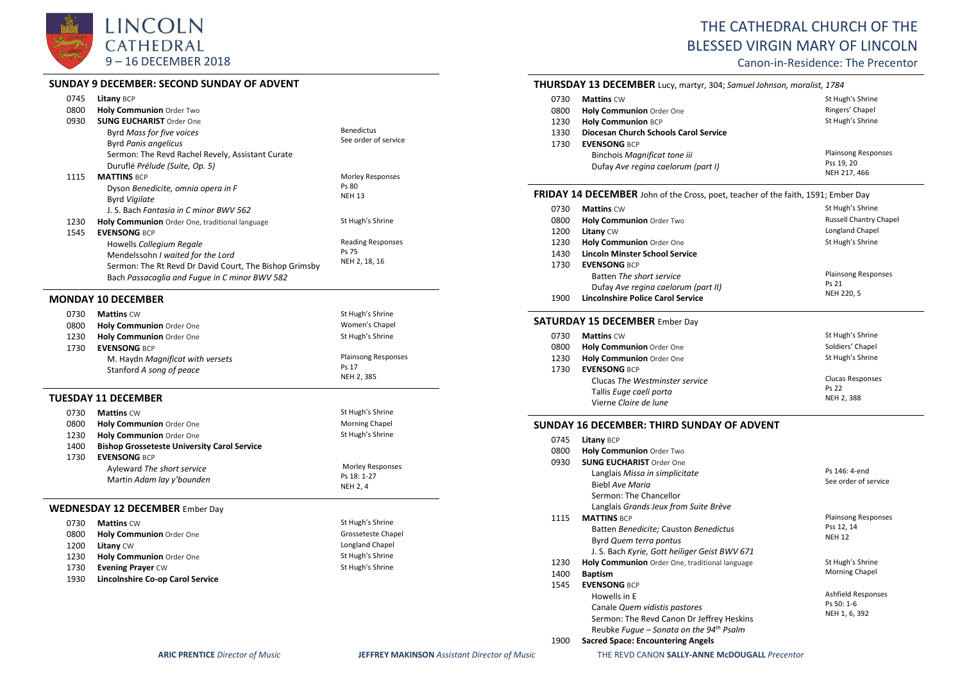

## **SUNDAY 9 DECEMBER: SECOND SUNDAY OF ADVENT**

| 0745 | Litany BCP                                             |                                 |
|------|--------------------------------------------------------|---------------------------------|
| 0800 | Holy Communion Order Two                               |                                 |
| 0930 | <b>SUNG EUCHARIST Order One</b>                        |                                 |
|      | Byrd Mass for five voices                              | <b>Benedictus</b>               |
|      | <b>Byrd Panis angelicus</b>                            | See order of service            |
|      | Sermon: The Revd Rachel Revely, Assistant Curate       |                                 |
|      | Duruflé Prélude (Suite, Op. 5)                         |                                 |
| 1115 | <b>MATTINS BCP</b>                                     | Morley Responses                |
|      | Dyson Benedicite, omnia opera in F                     | Ps 80                           |
|      | <b>Byrd Vigilate</b>                                   | <b>NEH 13</b>                   |
|      | J. S. Bach Fantasia in C minor BWV 562                 |                                 |
| 1230 | Holy Communion Order One, traditional language         | St Hugh's Shrine                |
| 1545 | <b>EVENSONG BCP</b>                                    |                                 |
|      | Howells Collegium Regale                               | <b>Reading Responses</b>        |
|      | Mendelssohn I waited for the Lord                      | Ps 75                           |
|      | Sermon: The Rt Revd Dr David Court, The Bishop Grimsby | NEH 2, 18, 16                   |
|      | Bach Passacaglia and Fugue in C minor BWV 582          |                                 |
|      | <b>MONDAY 10 DECEMBER</b>                              |                                 |
| 0730 | <b>Mattins CW</b>                                      | St Hugh's Shrine                |
| 0800 | Holy Communion Order One                               | Women's Chapel                  |
| 1230 | Holy Communion Order One                               | St Hugh's Shrine                |
| 1730 | <b>EVENSONG BCP</b>                                    |                                 |
|      | M. Haydn Magnificat with versets                       | <b>Plainsong Responses</b>      |
|      | Stanford A song of peace                               | Ps 17                           |
|      |                                                        | NEH 2, 385                      |
|      | <b>TUESDAY 11 DECEMBER</b>                             |                                 |
| 0730 | <b>Mattins CW</b>                                      | St Hugh's Shrine                |
| 0800 | Holy Communion Order One                               | Morning Chapel                  |
| 1230 | Holy Communion Order One                               | St Hugh's Shrine                |
| 1400 | <b>Bishop Grosseteste University Carol Service</b>     |                                 |
| 1730 | <b>EVENSONG BCP</b>                                    |                                 |
|      | Ayleward The short service                             | Morley Responses<br>Ps 18: 1-27 |
|      | Martin Adam lay y'bounden                              | NEH 2, 4                        |
|      |                                                        |                                 |
|      | <b>WEDNESDAY 12 DECEMBER Ember Day</b>                 |                                 |
| 0730 | <b>Mattins CW</b>                                      | St Hugh's Shrine                |
| 0800 | Holy Communion Order One                               | Grosseteste Chapel              |
| 1200 | Litany CW                                              | Longland Chapel                 |
| 1230 | Holy Communion Order One                               | St Hugh's Shrine                |
| 1730 | <b>Evening Prayer CW</b>                               | St Hugh's Shrine                |
| 1930 | Lincolnshire Co-op Carol Service                       |                                 |
|      |                                                        |                                 |
|      |                                                        |                                 |

# THE CATHEDRAL CHURCH OF THE BLESSED VIRGIN MARY OF LINCOLN

Canon-in-Residence: The Precentor

| <b>THURSDAY 13 DECEMBER</b> Lucy, martyr, 304; Samuel Johnson, moralist, 1784 |                                                                                   |                            |
|-------------------------------------------------------------------------------|-----------------------------------------------------------------------------------|----------------------------|
| 0730                                                                          | <b>Mattins CW</b>                                                                 | St Hugh's Shrine           |
| 0800                                                                          | Holy Communion Order One                                                          | Ringers' Chapel            |
| 1230                                                                          | <b>Holy Communion BCP</b>                                                         | St Hugh's Shrine           |
| 1330                                                                          | Diocesan Church Schools Carol Service                                             |                            |
| 1730                                                                          | <b>EVENSONG BCP</b>                                                               |                            |
|                                                                               | Binchois Magnificat tone iii                                                      | <b>Plainsong Responses</b> |
|                                                                               | Dufay Ave reging caelorum (part I)                                                | Pss 19, 20<br>NEH 217, 466 |
|                                                                               |                                                                                   |                            |
|                                                                               | FRIDAY 14 DECEMBER John of the Cross, poet, teacher of the faith, 1591; Ember Day |                            |
| 0730                                                                          | <b>Mattins CW</b>                                                                 | St Hugh's Shrine           |
| 0800                                                                          | Holy Communion Order Two                                                          | Russell Chantry Chapel     |
| 1200                                                                          | Litany CW                                                                         | Longland Chapel            |
| 1230                                                                          | Holy Communion Order One                                                          | St Hugh's Shrine           |
| 1430                                                                          | <b>Lincoln Minster School Service</b>                                             |                            |
| 1730                                                                          | <b>EVENSONG BCP</b>                                                               |                            |
|                                                                               | Batten The short service                                                          | <b>Plainsong Responses</b> |
|                                                                               | Dufay Ave regina caelorum (part II)                                               | Ps 21<br>NEH 220, 5        |
| 1900                                                                          | Lincolnshire Police Carol Service                                                 |                            |
|                                                                               | <b>SATURDAY 15 DECEMBER Ember Day</b>                                             |                            |
| 0730                                                                          | <b>Mattins CW</b>                                                                 | St Hugh's Shrine           |
| 0800                                                                          | Holy Communion Order One                                                          | Soldiers' Chapel           |
| 1230                                                                          | Holy Communion Order One                                                          | St Hugh's Shrine           |
| 1730                                                                          | <b>FVENSONG BCP</b>                                                               |                            |
|                                                                               | Clucas The Westminster service                                                    | Clucas Responses           |
|                                                                               | Tallis Euge caeli porta                                                           | Ps 22                      |
|                                                                               | Vierne Claire de lune                                                             | NEH 2, 388                 |
|                                                                               |                                                                                   |                            |

# **SUNDAY 16 DECEMBER: THIRD SUNDAY OF ADVENT**

| 0745 | <b>Litany BCP</b>               |
|------|---------------------------------|
| 0800 | <b>Holy Communion</b> Order Two |

| 0930 | <b>SUNG EUCHARIST Order One</b>                     |                            |
|------|-----------------------------------------------------|----------------------------|
|      | Langlais Missa in simplicitate                      | Ps 146: 4-end              |
|      | Biebl Ave Maria                                     | See order of service       |
|      | Sermon: The Chancellor                              |                            |
|      | Langlais Grands Jeux from Suite Brève               |                            |
| 1115 | <b>MATTINS BCP</b>                                  | <b>Plainsong Responses</b> |
|      | Batten Benedicite; Causton Benedictus               | Pss 12, 14                 |
|      | Byrd Quem terra pontus                              | <b>NEH 12</b>              |
|      | J. S. Bach Kyrie, Gott heiliger Geist BWV 671       |                            |
| 1230 | Holy Communion Order One, traditional language      | St Hugh's Shrine           |
| 1400 | <b>Baptism</b>                                      | <b>Morning Chapel</b>      |
| 1545 | <b>EVENSONG BCP</b>                                 |                            |
|      | Howells in E                                        | <b>Ashfield Responses</b>  |
|      | Canale Quem vidistis pastores                       | Ps 50: 1-6                 |
|      | Sermon: The Revd Canon Dr Jeffrey Heskins           | NEH 1, 6, 392              |
|      | Reubke Fugue – Sonata on the 94 <sup>th</sup> Psalm |                            |
|      |                                                     |                            |

#### 1900 **Sacred Space: Encountering Angels**